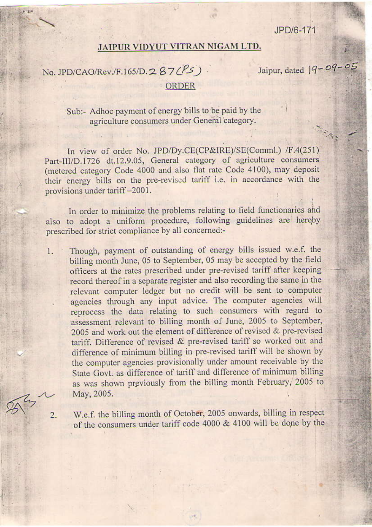JPD/6-171

Jaipur, dated  $19 - 09 - 05$ 

## JAIPUR VIDYUT VITRAN NIGAM LTD.

## No. JPD/CAO/Rev./F.165/D.287(PS). **ORDER**

## Sub:- Adhoc payment of energy bills to be paid by the agriculture consumers under General category.

In view of order No. JPD/Dy.CE(CP&IRE)/SE(Comml.) /F.4(251) Part-III/D.1726 dt.12.9.05, General category of agriculture consumers (metered category Code 4000 and also flat rate Code 4100), may deposit their energy bills on the pre-revised tariff i.e. in accordance with the provisions under tariff-2001.

In order to minimize the problems relating to field functionaries and also to adopt a uniform procedure, following guidelines are hereby prescribed for strict compliance by all concerned:-

Though, payment of outstanding of energy bills issued w.e.f. the  $\mathbf{1}$ billing month June, 05 to September, 05 may be accepted by the field officers at the rates prescribed under pre-revised tariff after keeping record thereof in a separate register and also recording the same in the relevant computer ledger but no credit will be sent to computer agencies through any input advice. The computer agencies will reprocess the data relating to such consumers with regard to assessment relevant to billing month of June, 2005 to September, 2005 and work out the element of difference of revised & pre-revised tariff. Difference of revised & pre-revised tariff so worked out and difference of minimum billing in pre-revised tariff will be shown by the computer agencies provisionally under amount receivable by the State Govt. as difference of tariff and difference of minimum billing as was shown previously from the billing month February, 2005 to May, 2005.

2.

W.e.f. the billing month of October, 2005 onwards, billing in respect of the consumers under tariff code 4000 & 4100 will be done by the